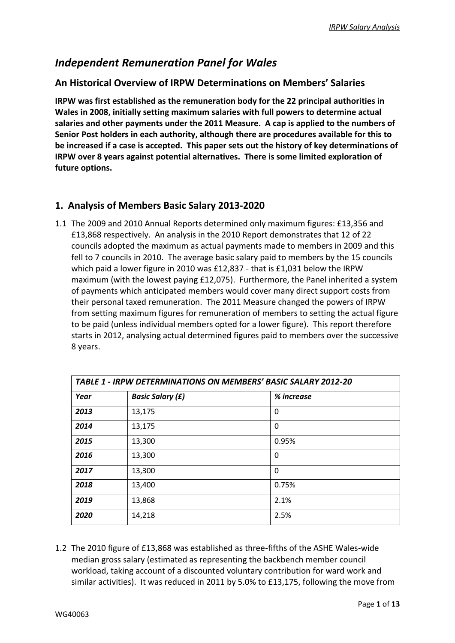## *Independent Remuneration Panel for Wales*

### **An Historical Overview of IRPW Determinations on Members' Salaries**

**IRPW was first established as the remuneration body for the 22 principal authorities in Wales in 2008, initially setting maximum salaries with full powers to determine actual salaries and other payments under the 2011 Measure. A cap is applied to the numbers of Senior Post holders in each authority, although there are procedures available for this to be increased if a case is accepted. This paper sets out the history of key determinations of IRPW over 8 years against potential alternatives. There is some limited exploration of future options.**

## **1. Analysis of Members Basic Salary 2013-2020**

1.1 The 2009 and 2010 Annual Reports determined only maximum figures: £13,356 and £13,868 respectively. An analysis in the 2010 Report demonstrates that 12 of 22 councils adopted the maximum as actual payments made to members in 2009 and this fell to 7 councils in 2010. The average basic salary paid to members by the 15 councils which paid a lower figure in 2010 was £12,837 - that is £1,031 below the IRPW maximum (with the lowest paying £12,075). Furthermore, the Panel inherited a system of payments which anticipated members would cover many direct support costs from their personal taxed remuneration. The 2011 Measure changed the powers of IRPW from setting maximum figures for remuneration of members to setting the actual figure to be paid (unless individual members opted for a lower figure). This report therefore starts in 2012, analysing actual determined figures paid to members over the successive 8 years.

| TABLE 1 - IRPW DETERMINATIONS ON MEMBERS' BASIC SALARY 2012-20 |                         |            |  |  |  |  |
|----------------------------------------------------------------|-------------------------|------------|--|--|--|--|
| Year                                                           | <b>Basic Salary (£)</b> | % increase |  |  |  |  |
| 2013                                                           | 13,175                  | $\Omega$   |  |  |  |  |
| 2014                                                           | 13,175                  | 0          |  |  |  |  |
| 2015                                                           | 13,300                  | 0.95%      |  |  |  |  |
| 2016                                                           | 13,300                  | $\Omega$   |  |  |  |  |
| 2017                                                           | 13,300                  | 0          |  |  |  |  |
| 2018                                                           | 13,400                  | 0.75%      |  |  |  |  |
| 2019                                                           | 13,868                  | 2.1%       |  |  |  |  |
| 2020                                                           | 14,218                  | 2.5%       |  |  |  |  |

1.2 The 2010 figure of £13,868 was established as three-fifths of the ASHE Wales-wide median gross salary (estimated as representing the backbench member council workload, taking account of a discounted voluntary contribution for ward work and similar activities). It was reduced in 2011 by 5.0% to £13,175, following the move from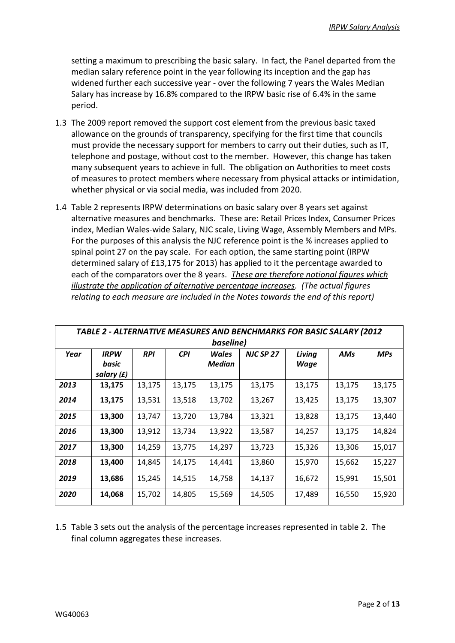setting a maximum to prescribing the basic salary. In fact, the Panel departed from the median salary reference point in the year following its inception and the gap has widened further each successive year - over the following 7 years the Wales Median Salary has increase by 16.8% compared to the IRPW basic rise of 6.4% in the same period.

- 1.3 The 2009 report removed the support cost element from the previous basic taxed allowance on the grounds of transparency, specifying for the first time that councils must provide the necessary support for members to carry out their duties, such as IT, telephone and postage, without cost to the member. However, this change has taken many subsequent years to achieve in full. The obligation on Authorities to meet costs of measures to protect members where necessary from physical attacks or intimidation, whether physical or via social media, was included from 2020.
- 1.4 Table 2 represents IRPW determinations on basic salary over 8 years set against alternative measures and benchmarks. These are: Retail Prices Index, Consumer Prices index, Median Wales-wide Salary, NJC scale, Living Wage, Assembly Members and MPs. For the purposes of this analysis the NJC reference point is the % increases applied to spinal point 27 on the pay scale. For each option, the same starting point (IRPW determined salary of £13,175 for 2013) has applied to it the percentage awarded to each of the comparators over the 8 years. *These are therefore notional figures which illustrate the application of alternative percentage increases. (The actual figures relating to each measure are included in the Notes towards the end of this report)*

|      | TABLE 2 - ALTERNATIVE MEASURES AND BENCHMARKS FOR BASIC SALARY (2012 |            |            |        |           |             |        |            |  |  |
|------|----------------------------------------------------------------------|------------|------------|--------|-----------|-------------|--------|------------|--|--|
|      | baseline)                                                            |            |            |        |           |             |        |            |  |  |
| Year | <b>IRPW</b>                                                          | <b>RPI</b> | <b>CPI</b> | Wales  | NJC SP 27 | Living      | AMs    | <b>MPs</b> |  |  |
|      | basic                                                                |            |            | Median |           | <b>Wage</b> |        |            |  |  |
|      | salary $(f)$                                                         |            |            |        |           |             |        |            |  |  |
| 2013 | 13,175                                                               | 13,175     | 13,175     | 13,175 | 13,175    | 13,175      | 13,175 | 13,175     |  |  |
| 2014 | 13,175                                                               | 13,531     | 13,518     | 13,702 | 13,267    | 13,425      | 13,175 | 13,307     |  |  |
| 2015 | 13,300                                                               | 13,747     | 13,720     | 13,784 | 13,321    | 13,828      | 13,175 | 13,440     |  |  |
| 2016 | 13,300                                                               | 13,912     | 13,734     | 13,922 | 13,587    | 14,257      | 13,175 | 14,824     |  |  |
| 2017 | 13,300                                                               | 14,259     | 13,775     | 14,297 | 13,723    | 15,326      | 13,306 | 15,017     |  |  |
| 2018 | 13,400                                                               | 14,845     | 14,175     | 14,441 | 13,860    | 15,970      | 15,662 | 15,227     |  |  |
| 2019 | 13,686                                                               | 15,245     | 14,515     | 14,758 | 14,137    | 16,672      | 15,991 | 15,501     |  |  |
| 2020 | 14,068                                                               | 15,702     | 14,805     | 15,569 | 14,505    | 17,489      | 16,550 | 15,920     |  |  |

1.5 Table 3 sets out the analysis of the percentage increases represented in table 2. The final column aggregates these increases.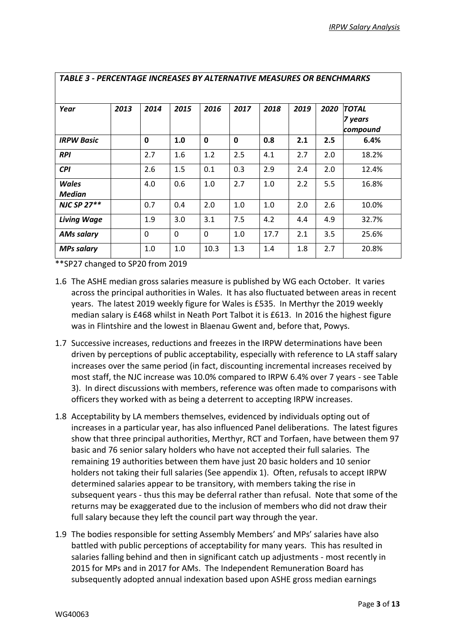|                    | TABLE 3 - PERCENTAGE INCREASES BY ALTERNATIVE MEASURES OR BENCHMARKS |              |      |              |             |      |      |      |                                     |
|--------------------|----------------------------------------------------------------------|--------------|------|--------------|-------------|------|------|------|-------------------------------------|
| Year               | 2013                                                                 | 2014         | 2015 | 2016         | 2017        | 2018 | 2019 | 2020 | <b>TOTAL</b><br>7 years<br>compound |
| <b>IRPW Basic</b>  |                                                                      | $\mathbf{0}$ | 1.0  | $\mathbf{0}$ | $\mathbf 0$ | 0.8  | 2.1  | 2.5  | 6.4%                                |
| <b>RPI</b>         |                                                                      | 2.7          | 1.6  | 1.2          | 2.5         | 4.1  | 2.7  | 2.0  | 18.2%                               |
| <b>CPI</b>         |                                                                      | 2.6          | 1.5  | 0.1          | 0.3         | 2.9  | 2.4  | 2.0  | 12.4%                               |
| Wales<br>Median    |                                                                      | 4.0          | 0.6  | 1.0          | 2.7         | 1.0  | 2.2  | 5.5  | 16.8%                               |
| <b>NJC SP 27**</b> |                                                                      | 0.7          | 0.4  | 2.0          | 1.0         | 1.0  | 2.0  | 2.6  | 10.0%                               |
| <b>Living Wage</b> |                                                                      | 1.9          | 3.0  | 3.1          | 7.5         | 4.2  | 4.4  | 4.9  | 32.7%                               |
| <b>AMs salary</b>  |                                                                      | $\Omega$     | 0    | $\Omega$     | 1.0         | 17.7 | 2.1  | 3.5  | 25.6%                               |
| <b>MPs salary</b>  |                                                                      | 1.0          | 1.0  | 10.3         | 1.3         | 1.4  | 1.8  | 2.7  | 20.8%                               |

\*\*SP27 changed to SP20 from 2019

- 1.6 The ASHE median gross salaries measure is published by WG each October. It varies across the principal authorities in Wales. It has also fluctuated between areas in recent years. The latest 2019 weekly figure for Wales is £535. In Merthyr the 2019 weekly median salary is £468 whilst in Neath Port Talbot it is £613. In 2016 the highest figure was in Flintshire and the lowest in Blaenau Gwent and, before that, Powys.
- 1.7 Successive increases, reductions and freezes in the IRPW determinations have been driven by perceptions of public acceptability, especially with reference to LA staff salary increases over the same period (in fact, discounting incremental increases received by most staff, the NJC increase was 10.0% compared to IRPW 6.4% over 7 years - see Table 3). In direct discussions with members, reference was often made to comparisons with officers they worked with as being a deterrent to accepting IRPW increases.
- 1.8 Acceptability by LA members themselves, evidenced by individuals opting out of increases in a particular year, has also influenced Panel deliberations. The latest figures show that three principal authorities, Merthyr, RCT and Torfaen, have between them 97 basic and 76 senior salary holders who have not accepted their full salaries. The remaining 19 authorities between them have just 20 basic holders and 10 senior holders not taking their full salaries (See appendix 1). Often, refusals to accept IRPW determined salaries appear to be transitory, with members taking the rise in subsequent years - thus this may be deferral rather than refusal. Note that some of the returns may be exaggerated due to the inclusion of members who did not draw their full salary because they left the council part way through the year.
- 1.9 The bodies responsible for setting Assembly Members' and MPs' salaries have also battled with public perceptions of acceptability for many years. This has resulted in salaries falling behind and then in significant catch up adjustments - most recently in 2015 for MPs and in 2017 for AMs. The Independent Remuneration Board has subsequently adopted annual indexation based upon ASHE gross median earnings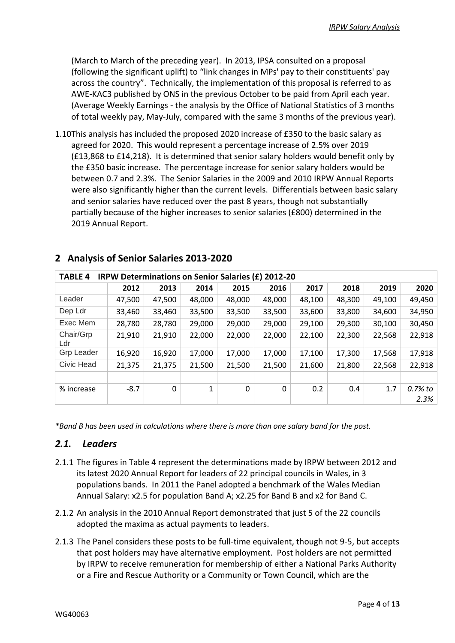(March to March of the preceding year). In 2013, IPSA consulted on a proposal (following the significant uplift) to "link changes in MPs' pay to their constituents' pay across the country". Technically, the implementation of this proposal is referred to as AWE-KAC3 published by ONS in the previous October to be paid from April each year. (Average Weekly Earnings - the analysis by the Office of National Statistics of 3 months of total weekly pay, May-July, compared with the same 3 months of the previous year).

1.10This analysis has included the proposed 2020 increase of £350 to the basic salary as agreed for 2020. This would represent a percentage increase of 2.5% over 2019 (£13,868 to £14,218). It is determined that senior salary holders would benefit only by the £350 basic increase. The percentage increase for senior salary holders would be between 0.7 and 2.3%. The Senior Salaries in the 2009 and 2010 IRPW Annual Reports were also significantly higher than the current levels. Differentials between basic salary and senior salaries have reduced over the past 8 years, though not substantially partially because of the higher increases to senior salaries (£800) determined in the 2019 Annual Report.

| <b>TABLE 4</b>    | <b>IRPW Determinations on Senior Salaries (£) 2012-20</b> |        |        |          |        |        |        |        |         |  |
|-------------------|-----------------------------------------------------------|--------|--------|----------|--------|--------|--------|--------|---------|--|
|                   | 2012                                                      | 2013   | 2014   | 2015     | 2016   | 2017   | 2018   | 2019   | 2020    |  |
| Leader            | 47,500                                                    | 47,500 | 48,000 | 48,000   | 48,000 | 48,100 | 48,300 | 49,100 | 49,450  |  |
| Dep Ldr           | 33,460                                                    | 33,460 | 33,500 | 33,500   | 33,500 | 33,600 | 33,800 | 34,600 | 34,950  |  |
| Exec Mem          | 28,780                                                    | 28,780 | 29,000 | 29,000   | 29,000 | 29,100 | 29,300 | 30,100 | 30,450  |  |
| Chair/Grp<br>Ldr  | 21,910                                                    | 21,910 | 22,000 | 22,000   | 22,000 | 22,100 | 22,300 | 22,568 | 22,918  |  |
| <b>Grp Leader</b> | 16,920                                                    | 16,920 | 17,000 | 17,000   | 17,000 | 17,100 | 17,300 | 17,568 | 17,918  |  |
| Civic Head        | 21,375                                                    | 21,375 | 21,500 | 21,500   | 21,500 | 21,600 | 21,800 | 22,568 | 22,918  |  |
|                   |                                                           |        |        |          |        |        |        |        |         |  |
| % increase        | $-8.7$                                                    | 0      | 1      | $\Omega$ | 0      | 0.2    | 0.4    | 1.7    | 0.7% to |  |
|                   |                                                           |        |        |          |        |        |        |        | 2.3%    |  |

## **2 Analysis of Senior Salaries 2013-2020**

*\*Band B has been used in calculations where there is more than one salary band for the post.*

#### *2.1. Leaders*

- 2.1.1 The figures in Table 4 represent the determinations made by IRPW between 2012 and its latest 2020 Annual Report for leaders of 22 principal councils in Wales, in 3 populations bands. In 2011 the Panel adopted a benchmark of the Wales Median Annual Salary: x2.5 for population Band A; x2.25 for Band B and x2 for Band C.
- 2.1.2 An analysis in the 2010 Annual Report demonstrated that just 5 of the 22 councils adopted the maxima as actual payments to leaders.
- 2.1.3 The Panel considers these posts to be full-time equivalent, though not 9-5, but accepts that post holders may have alternative employment. Post holders are not permitted by IRPW to receive remuneration for membership of either a National Parks Authority or a Fire and Rescue Authority or a Community or Town Council, which are the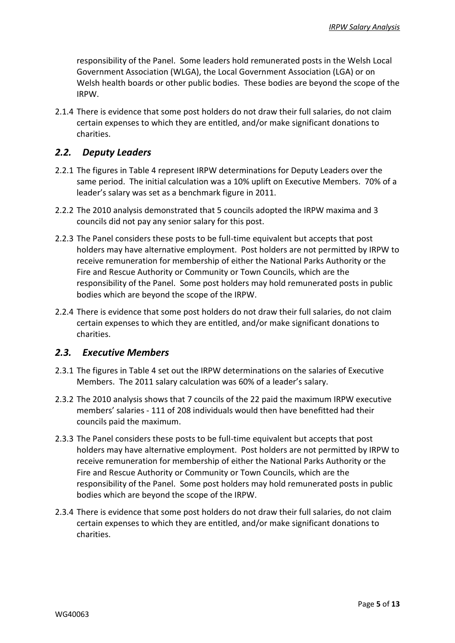responsibility of the Panel. Some leaders hold remunerated posts in the Welsh Local Government Association (WLGA), the Local Government Association (LGA) or on Welsh health boards or other public bodies. These bodies are beyond the scope of the IRPW.

2.1.4 There is evidence that some post holders do not draw their full salaries, do not claim certain expenses to which they are entitled, and/or make significant donations to charities.

#### *2.2. Deputy Leaders*

- 2.2.1 The figures in Table 4 represent IRPW determinations for Deputy Leaders over the same period. The initial calculation was a 10% uplift on Executive Members. 70% of a leader's salary was set as a benchmark figure in 2011.
- 2.2.2 The 2010 analysis demonstrated that 5 councils adopted the IRPW maxima and 3 councils did not pay any senior salary for this post.
- 2.2.3 The Panel considers these posts to be full-time equivalent but accepts that post holders may have alternative employment. Post holders are not permitted by IRPW to receive remuneration for membership of either the National Parks Authority or the Fire and Rescue Authority or Community or Town Councils, which are the responsibility of the Panel. Some post holders may hold remunerated posts in public bodies which are beyond the scope of the IRPW.
- 2.2.4 There is evidence that some post holders do not draw their full salaries, do not claim certain expenses to which they are entitled, and/or make significant donations to charities.

#### *2.3. Executive Members*

- 2.3.1 The figures in Table 4 set out the IRPW determinations on the salaries of Executive Members. The 2011 salary calculation was 60% of a leader's salary.
- 2.3.2 The 2010 analysis shows that 7 councils of the 22 paid the maximum IRPW executive members' salaries - 111 of 208 individuals would then have benefitted had their councils paid the maximum.
- 2.3.3 The Panel considers these posts to be full-time equivalent but accepts that post holders may have alternative employment. Post holders are not permitted by IRPW to receive remuneration for membership of either the National Parks Authority or the Fire and Rescue Authority or Community or Town Councils, which are the responsibility of the Panel. Some post holders may hold remunerated posts in public bodies which are beyond the scope of the IRPW.
- 2.3.4 There is evidence that some post holders do not draw their full salaries, do not claim certain expenses to which they are entitled, and/or make significant donations to charities.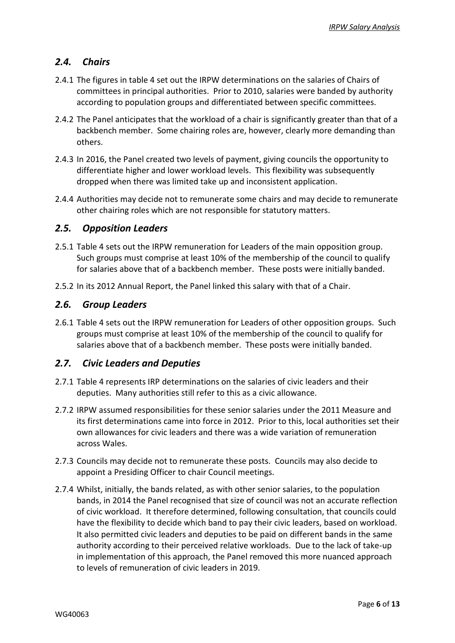#### *2.4. Chairs*

- 2.4.1 The figures in table 4 set out the IRPW determinations on the salaries of Chairs of committees in principal authorities. Prior to 2010, salaries were banded by authority according to population groups and differentiated between specific committees.
- 2.4.2 The Panel anticipates that the workload of a chair is significantly greater than that of a backbench member. Some chairing roles are, however, clearly more demanding than others.
- 2.4.3 In 2016, the Panel created two levels of payment, giving councils the opportunity to differentiate higher and lower workload levels. This flexibility was subsequently dropped when there was limited take up and inconsistent application.
- 2.4.4 Authorities may decide not to remunerate some chairs and may decide to remunerate other chairing roles which are not responsible for statutory matters.

#### *2.5. Opposition Leaders*

- 2.5.1 Table 4 sets out the IRPW remuneration for Leaders of the main opposition group. Such groups must comprise at least 10% of the membership of the council to qualify for salaries above that of a backbench member. These posts were initially banded.
- 2.5.2 In its 2012 Annual Report, the Panel linked this salary with that of a Chair.

#### *2.6. Group Leaders*

2.6.1 Table 4 sets out the IRPW remuneration for Leaders of other opposition groups. Such groups must comprise at least 10% of the membership of the council to qualify for salaries above that of a backbench member. These posts were initially banded.

#### *2.7. Civic Leaders and Deputies*

- 2.7.1 Table 4 represents IRP determinations on the salaries of civic leaders and their deputies. Many authorities still refer to this as a civic allowance.
- 2.7.2 IRPW assumed responsibilities for these senior salaries under the 2011 Measure and its first determinations came into force in 2012. Prior to this, local authorities set their own allowances for civic leaders and there was a wide variation of remuneration across Wales.
- 2.7.3 Councils may decide not to remunerate these posts. Councils may also decide to appoint a Presiding Officer to chair Council meetings.
- 2.7.4 Whilst, initially, the bands related, as with other senior salaries, to the population bands, in 2014 the Panel recognised that size of council was not an accurate reflection of civic workload. It therefore determined, following consultation, that councils could have the flexibility to decide which band to pay their civic leaders, based on workload. It also permitted civic leaders and deputies to be paid on different bands in the same authority according to their perceived relative workloads. Due to the lack of take-up in implementation of this approach, the Panel removed this more nuanced approach to levels of remuneration of civic leaders in 2019.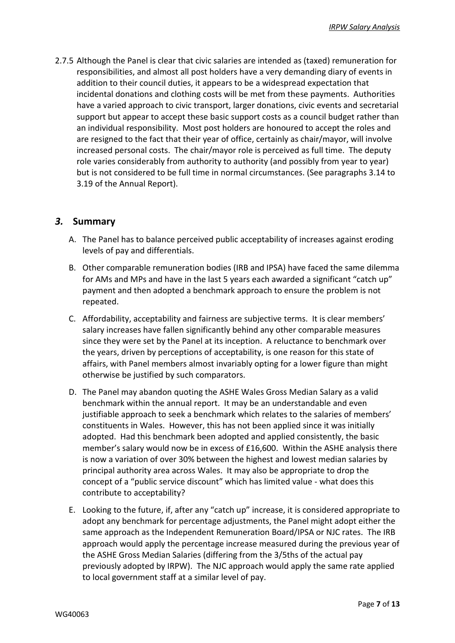2.7.5 Although the Panel is clear that civic salaries are intended as (taxed) remuneration for responsibilities, and almost all post holders have a very demanding diary of events in addition to their council duties, it appears to be a widespread expectation that incidental donations and clothing costs will be met from these payments. Authorities have a varied approach to civic transport, larger donations, civic events and secretarial support but appear to accept these basic support costs as a council budget rather than an individual responsibility. Most post holders are honoured to accept the roles and are resigned to the fact that their year of office, certainly as chair/mayor, will involve increased personal costs. The chair/mayor role is perceived as full time. The deputy role varies considerably from authority to authority (and possibly from year to year) but is not considered to be full time in normal circumstances. (See paragraphs 3.14 to 3.19 of the Annual Report).

#### *3.* **Summary**

- A. The Panel has to balance perceived public acceptability of increases against eroding levels of pay and differentials.
- B. Other comparable remuneration bodies (IRB and IPSA) have faced the same dilemma for AMs and MPs and have in the last 5 years each awarded a significant "catch up" payment and then adopted a benchmark approach to ensure the problem is not repeated.
- C. Affordability, acceptability and fairness are subjective terms. It is clear members' salary increases have fallen significantly behind any other comparable measures since they were set by the Panel at its inception. A reluctance to benchmark over the years, driven by perceptions of acceptability, is one reason for this state of affairs, with Panel members almost invariably opting for a lower figure than might otherwise be justified by such comparators.
- D. The Panel may abandon quoting the ASHE Wales Gross Median Salary as a valid benchmark within the annual report. It may be an understandable and even justifiable approach to seek a benchmark which relates to the salaries of members' constituents in Wales. However, this has not been applied since it was initially adopted. Had this benchmark been adopted and applied consistently, the basic member's salary would now be in excess of £16,600. Within the ASHE analysis there is now a variation of over 30% between the highest and lowest median salaries by principal authority area across Wales. It may also be appropriate to drop the concept of a "public service discount" which has limited value - what does this contribute to acceptability?
- E. Looking to the future, if, after any "catch up" increase, it is considered appropriate to adopt any benchmark for percentage adjustments, the Panel might adopt either the same approach as the Independent Remuneration Board/IPSA or NJC rates. The IRB approach would apply the percentage increase measured during the previous year of the ASHE Gross Median Salaries (differing from the 3/5ths of the actual pay previously adopted by IRPW). The NJC approach would apply the same rate applied to local government staff at a similar level of pay.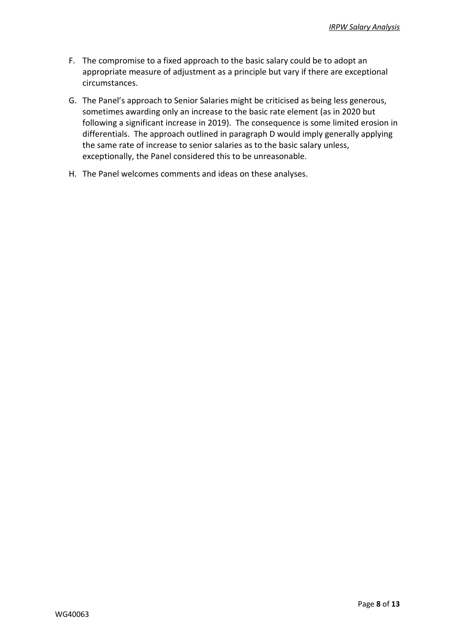- F. The compromise to a fixed approach to the basic salary could be to adopt an appropriate measure of adjustment as a principle but vary if there are exceptional circumstances.
- G. The Panel's approach to Senior Salaries might be criticised as being less generous, sometimes awarding only an increase to the basic rate element (as in 2020 but following a significant increase in 2019). The consequence is some limited erosion in differentials. The approach outlined in paragraph D would imply generally applying the same rate of increase to senior salaries as to the basic salary unless, exceptionally, the Panel considered this to be unreasonable.
- H. The Panel welcomes comments and ideas on these analyses.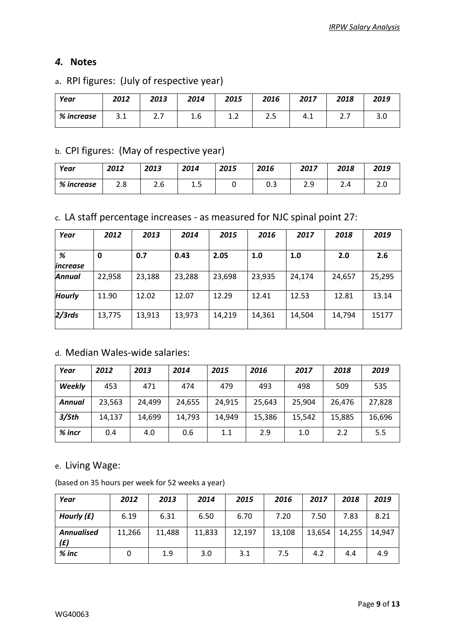#### *4.* **Notes**

## a. RPI figures: (July of respective year)

| Year       | 2012 | 2013     | 2014 | 2015         | 2016      | 2017 | 2018     | 2019 |
|------------|------|----------|------|--------------|-----------|------|----------|------|
| % increase | 3.1  | <u>.</u> | 1.6  | . . <u>.</u> | つに<br>د.ء | 4.1  | <u>.</u> |      |

## b. CPI figures: (May of respective year)

| Year       | 2012       | 2013 | 2014 | 2015 | 2016     | 2017         | 2018 | 2019 |
|------------|------------|------|------|------|----------|--------------|------|------|
| % increase | າ ໐<br>2.0 | 2.6  | ∸. ا |      | ົ<br>∪.J | າ ດ<br>ر . ے | 2.4  | ـ .  |

c. LA staff percentage increases - as measured for NJC spinal point 27:

| Year                 | 2012   | 2013   | 2014   | 2015   | 2016   | 2017   | 2018   | 2019   |
|----------------------|--------|--------|--------|--------|--------|--------|--------|--------|
| %<br><i>increase</i> | 0      | 0.7    | 0.43   | 2.05   | 1.0    | 1.0    | 2.0    | 2.6    |
| Annual               | 22,958 | 23,188 | 23,288 | 23,698 | 23,935 | 24,174 | 24,657 | 25,295 |
| <b>Hourly</b>        | 11.90  | 12.02  | 12.07  | 12.29  | 12.41  | 12.53  | 12.81  | 13.14  |
| $2/3$ rds            | 13,775 | 13,913 | 13,973 | 14,219 | 14,361 | 14,504 | 14,794 | 15177  |

## d. Median Wales-wide salaries:

| Year          | 2012   | 2013   | 2014   | 2015   | 2016   | 2017   | 2018   | 2019   |
|---------------|--------|--------|--------|--------|--------|--------|--------|--------|
| <b>Weekly</b> | 453    | 471    | 474    | 479    | 493    | 498    | 509    | 535    |
| Annual        | 23,563 | 24,499 | 24,655 | 24,915 | 25.643 | 25,904 | 26,476 | 27,828 |
| 3/5th         | 14,137 | 14,699 | 14,793 | 14,949 | 15,386 | 15,542 | 15,885 | 16,696 |
| $%$ incr      | 0.4    | 4.0    | 0.6    | 1.1    | 2.9    | 1.0    | 2.2    | 5.5    |

#### e. Living Wage:

(based on 35 hours per week for 52 weeks a year)

| Year                     | 2012   | 2013   | 2014   | 2015   | 2016   | 2017   | 2018   | 2019   |
|--------------------------|--------|--------|--------|--------|--------|--------|--------|--------|
| Hourly $(f)$             | 6.19   | 6.31   | 6.50   | 6.70   | 7.20   | 7.50   | 7.83   | 8.21   |
| <b>Annualised</b><br>(£) | 11,266 | 11,488 | 11,833 | 12,197 | 13,108 | 13,654 | 14,255 | 14,947 |
| $%$ inc                  | 0      | 1.9    | 3.0    | 3.1    | 7.5    | 4.2    | 4.4    | 4.9    |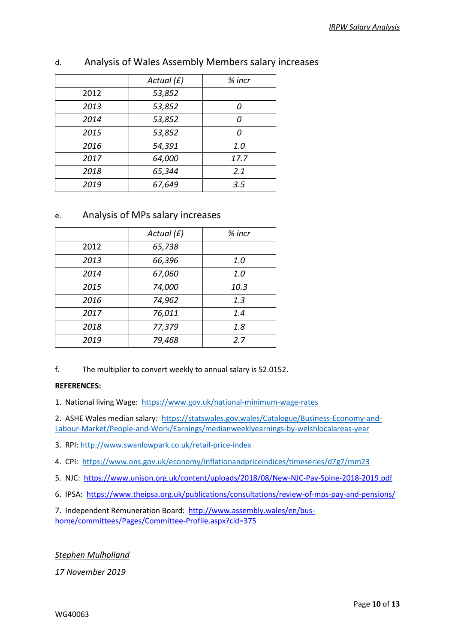|      | Actual $(f)$ | $%$ incr |
|------|--------------|----------|
| 2012 | 53,852       |          |
| 2013 | 53,852       | Ω        |
| 2014 | 53,852       | N        |
| 2015 | 53,852       | Ω        |
| 2016 | 54,391       | 1.0      |
| 2017 | 64,000       | 17.7     |
| 2018 | 65,344       | 2.1      |
| 2019 | 67,649       | 3.5      |

#### d. Analysis of Wales Assembly Members salary increases

#### e. Analysis of MPs salary increases

|      | Actual $(f)$ | $%$ incr |
|------|--------------|----------|
| 2012 | 65,738       |          |
| 2013 | 66,396       | 1.0      |
| 2014 | 67,060       | 1.0      |
| 2015 | 74,000       | 10.3     |
| 2016 | 74,962       | 1.3      |
| 2017 | 76,011       | 1.4      |
| 2018 | 77,379       | 1.8      |
| 2019 | 79,468       | 2.7      |

f. The multiplier to convert weekly to annual salary is 52.0152.

#### **REFERENCES:**

1. National living Wage: <https://www.gov.uk/national-minimum-wage-rates>

2. ASHE Wales median salary: [https://statswales.gov.wales/Catalogue/Business-Economy-and-](https://statswales.gov.wales/Catalogue/Business-Economy-and-Labour-Market/People-and-Work/Earnings/medianweeklyearnings-by-welshlocalareas-year)[Labour-Market/People-and-Work/Earnings/medianweeklyearnings-by-welshlocalareas-year](https://statswales.gov.wales/Catalogue/Business-Economy-and-Labour-Market/People-and-Work/Earnings/medianweeklyearnings-by-welshlocalareas-year)

3. RPI: [http://www.swanlowpark.co.uk/retail-price-index](http://www.swanlowpark.co.uk/retail-price-index.jsp)

4. CPI:<https://www.ons.gov.uk/economy/inflationandpriceindices/timeseries/d7g7/mm23>

5. NJC:<https://www.unison.org.uk/content/uploads/2018/08/New-NJC-Pay-Spine-2018-2019.pdf>

6. IPSA: <https://www.theipsa.org.uk/publications/consultations/review-of-mps-pay-and-pensions/>

7. Independent Remuneration Board: [http://www.assembly.wales/en/bus](http://www.assembly.wales/en/bus-home/committees/Pages/Committee-Profile.aspx?cid=375)[home/committees/Pages/Committee-Profile.aspx?cid=375](http://www.assembly.wales/en/bus-home/committees/Pages/Committee-Profile.aspx?cid=375)

*Stephen Mulholland*

*17 November 2019*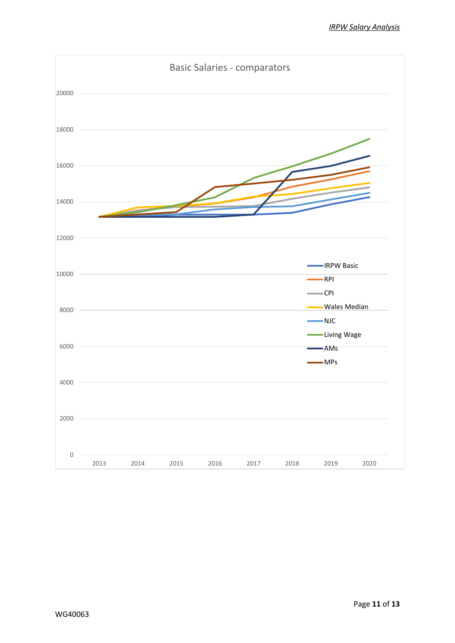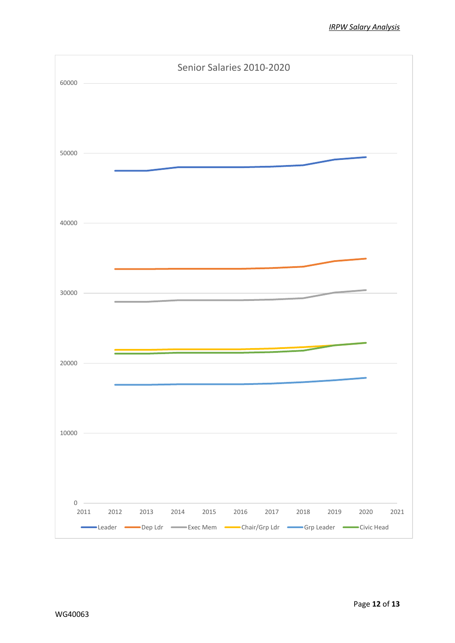